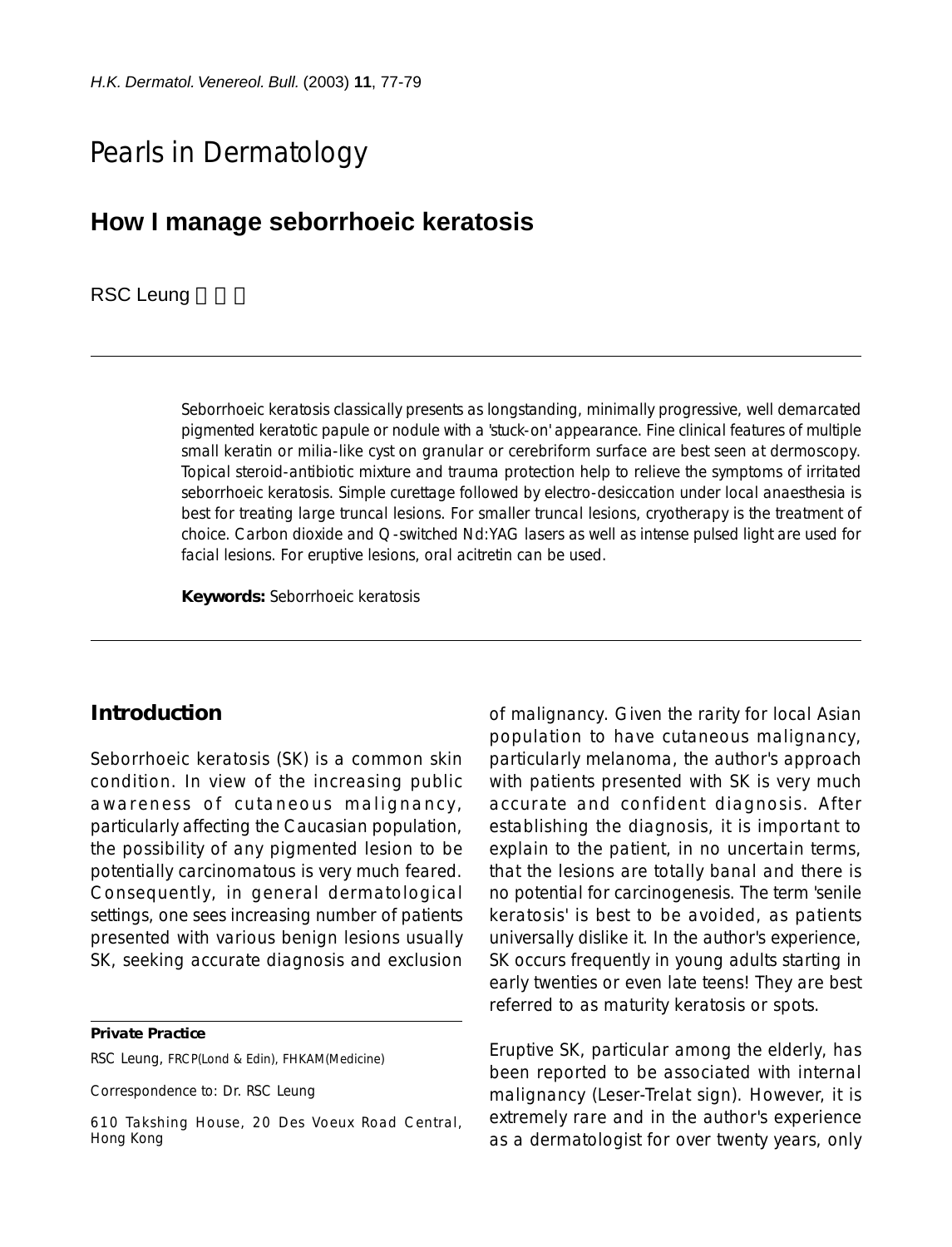# Pearls in Dermatology

# **How I manage seborrhoeic keratosis**

#### RSC Leung

Seborrhoeic keratosis classically presents as longstanding, minimally progressive, well demarcated pigmented keratotic papule or nodule with a 'stuck-on' appearance. Fine clinical features of multiple small keratin or milia-like cyst on granular or cerebriform surface are best seen at dermoscopy. Topical steroid-antibiotic mixture and trauma protection help to relieve the symptoms of irritated seborrhoeic keratosis. Simple curettage followed by electro-desiccation under local anaesthesia is best for treating large truncal lesions. For smaller truncal lesions, cryotherapy is the treatment of choice. Carbon dioxide and Q-switched Nd:YAG lasers as well as intense pulsed light are used for facial lesions. For eruptive lesions, oral acitretin can be used.

**Keywords:** Seborrhoeic keratosis

#### **Introduction**

Seborrhoeic keratosis (SK) is a common skin condition. In view of the increasing public awareness of cutaneous malignancy, particularly affecting the Caucasian population, the possibility of any pigmented lesion to be potentially carcinomatous is very much feared. Consequently, in general dermatological settings, one sees increasing number of patients presented with various benign lesions usually SK, seeking accurate diagnosis and exclusion

**Private Practice**

RSC Leung, FRCP(Lond & Edin), FHKAM(Medicine)

Correspondence to: Dr. RSC Leung

of malignancy. Given the rarity for local Asian population to have cutaneous malignancy, particularly melanoma, the author's approach with patients presented with SK is very much accurate and confident diagnosis. After establishing the diagnosis, it is important to explain to the patient, in no uncertain terms, that the lesions are totally banal and there is no potential for carcinogenesis. The term 'senile keratosis' is best to be avoided, as patients universally dislike it. In the author's experience, SK occurs frequently in young adults starting in early twenties or even late teens! They are best referred to as maturity keratosis or spots.

Eruptive SK, particular among the elderly, has been reported to be associated with internal malignancy (Leser-Trelat sign). However, it is extremely rare and in the author's experience as a dermatologist for over twenty years, only

<sup>610</sup> Takshing House, 20 Des Voeux Road Central, Hong Kong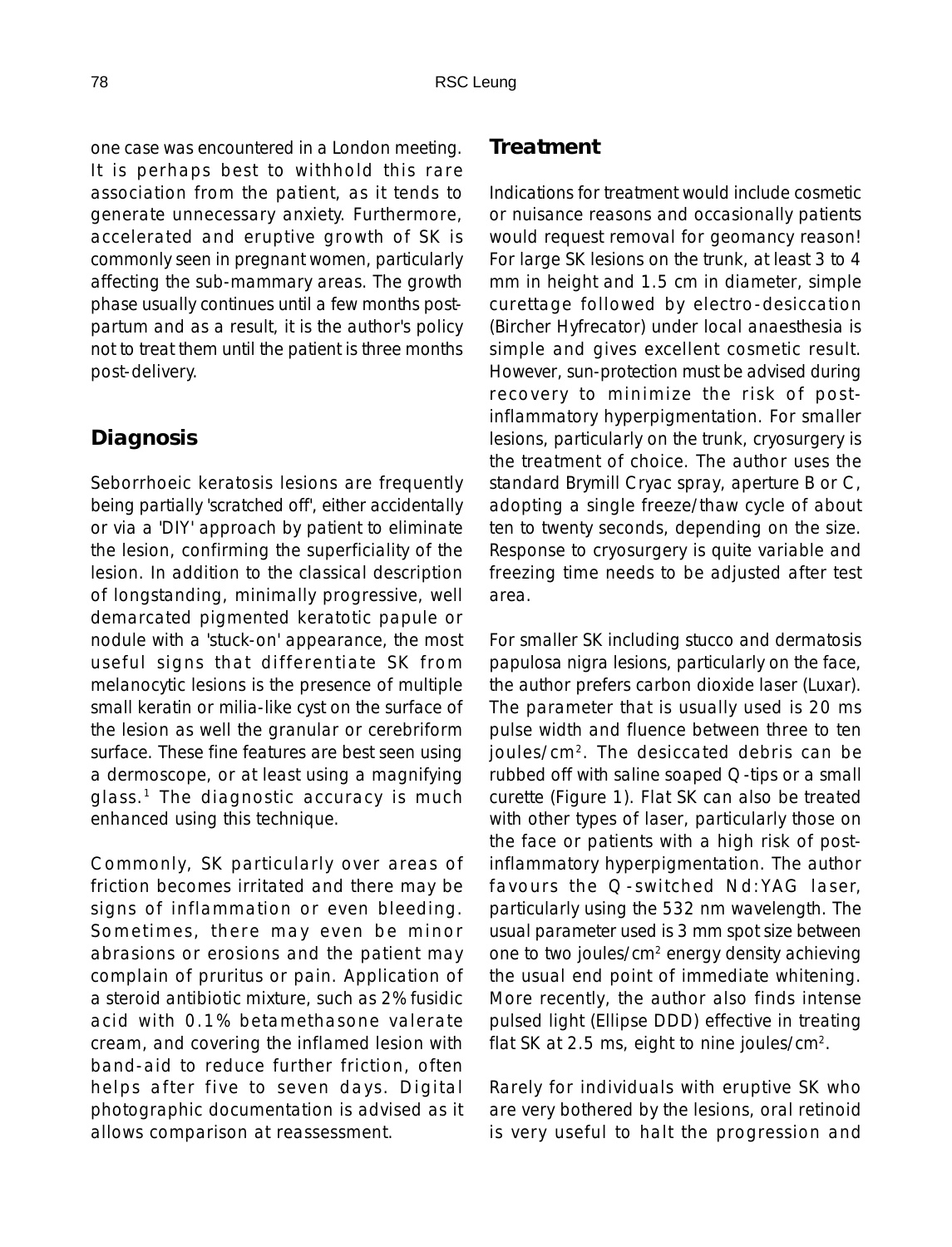one case was encountered in a London meeting. It is perhaps best to withhold this rare association from the patient, as it tends to generate unnecessary anxiety. Furthermore, accelerated and eruptive growth of SK is commonly seen in pregnant women, particularly affecting the sub-mammary areas. The growth phase usually continues until a few months postpartum and as a result, it is the author's policy not to treat them until the patient is three months post-delivery.

## **Diagnosis**

Seborrhoeic keratosis lesions are frequently being partially 'scratched off', either accidentally or via a 'DIY' approach by patient to eliminate the lesion, confirming the superficiality of the lesion. In addition to the classical description of longstanding, minimally progressive, well demarcated pigmented keratotic papule or nodule with a 'stuck-on' appearance, the most useful signs that differentiate SK from melanocytic lesions is the presence of multiple small keratin or milia-like cyst on the surface of the lesion as well the granular or cerebriform surface. These fine features are best seen using a dermoscope, or at least using a magnifying glass.<sup>1</sup> The diagnostic accuracy is much enhanced using this technique.

Commonly, SK particularly over areas of friction becomes irritated and there may be signs of inflammation or even bleeding. Sometimes, there may even be minor abrasions or erosions and the patient may complain of pruritus or pain. Application of a steroid antibiotic mixture, such as 2% fusidic acid with 0.1% betamethasone valerate cream, and covering the inflamed lesion with band-aid to reduce further friction, often helps after five to seven days. Digital photographic documentation is advised as it allows comparison at reassessment.

### **Treatment**

Indications for treatment would include cosmetic or nuisance reasons and occasionally patients would request removal for geomancy reason! For large SK lesions on the trunk, at least 3 to 4 mm in height and 1.5 cm in diameter, simple curettage followed by electro-desiccation (Bircher Hyfrecator) under local anaesthesia is simple and gives excellent cosmetic result. However, sun-protection must be advised during recovery to minimize the risk of postinflammatory hyperpigmentation. For smaller lesions, particularly on the trunk, cryosurgery is the treatment of choice. The author uses the standard Brymill Cryac spray, aperture B or C, adopting a single freeze/thaw cycle of about ten to twenty seconds, depending on the size. Response to cryosurgery is quite variable and freezing time needs to be adjusted after test area.

For smaller SK including stucco and dermatosis papulosa nigra lesions, particularly on the face, the author prefers carbon dioxide laser (Luxar). The parameter that is usually used is 20 ms pulse width and fluence between three to ten joules/cm2. The desiccated debris can be rubbed off with saline soaped Q-tips or a small curette (Figure 1). Flat SK can also be treated with other types of laser, particularly those on the face or patients with a high risk of postinflammatory hyperpigmentation. The author favours the Q-switched Nd:YAG laser, particularly using the 532 nm wavelength. The usual parameter used is 3 mm spot size between one to two joules/cm2 energy density achieving the usual end point of immediate whitening. More recently, the author also finds intense pulsed light (Ellipse DDD) effective in treating flat SK at 2.5 ms, eight to nine joules/cm2.

Rarely for individuals with eruptive SK who are very bothered by the lesions, oral retinoid is very useful to halt the progression and